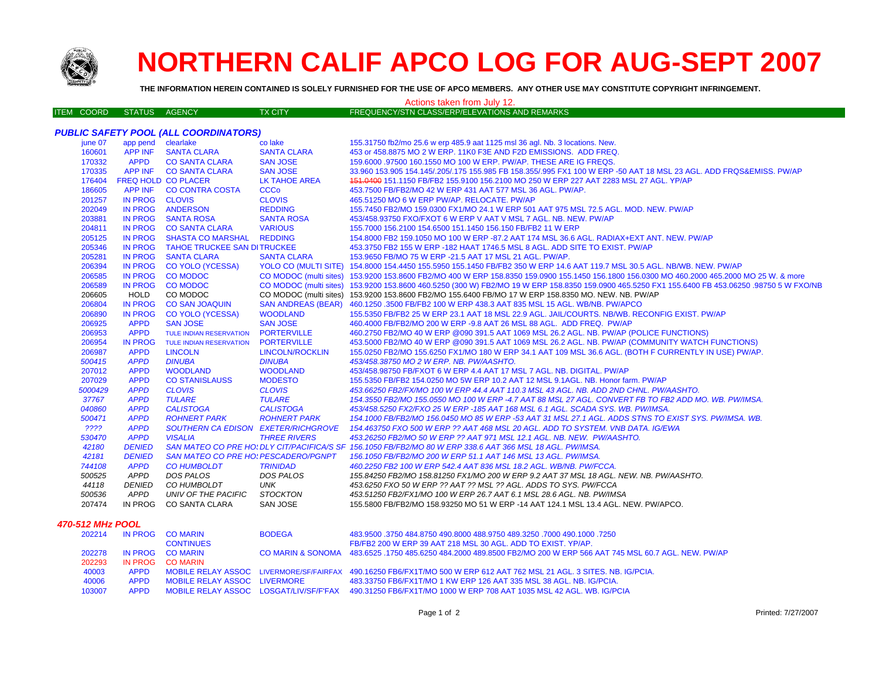

## **NORTHERN CALIF APCO LOG FOR AUG-SEPT 2007**

**THE INFORMATION HEREIN CONTAINED IS SOLELY FURNISHED FOR THE USE OF APCO MEMBERS. ANY OTHER USE MAY CONSTITUTE COPYRIGHT INFRINGEMENT.**

## Actions taken from July 12.

|  | ITEM COORD STATUS AGENCY |  |  | TX CITY' | ∣ FREQUENCY/STN CLASS/ERP/ELEVATIONS AND REMARKS ' |  |
|--|--------------------------|--|--|----------|----------------------------------------------------|--|
|--|--------------------------|--|--|----------|----------------------------------------------------|--|

|         |                    | <b>PUBLIC SAFETY POOL (ALL COORDINATORS)</b> |                      |                                                                                                                                                  |
|---------|--------------------|----------------------------------------------|----------------------|--------------------------------------------------------------------------------------------------------------------------------------------------|
| june 07 | app pend clearlake |                                              | co lake              | 155.31750 fb2/mo 25.6 w erp 485.9 aat 1125 msl 36 agl. Nb. 3 locations. New.                                                                     |
| 160601  |                    | APP INF SANTA CLARA                          | <b>SANTA CLARA</b>   | 453 or 458.8875 MO 2 W ERP. 11K0 F3E AND F2D EMISSIONS. ADD FREQ.                                                                                |
| 170332  | <b>APPD</b>        | <b>CO SANTA CLARA</b>                        | <b>SAN JOSE</b>      | 159,6000 .97500 160,1550 MO 100 W ERP, PW/AP, THESE ARE IG FREQS.                                                                                |
| 170335  |                    | APP INF CO SANTA CLARA                       | <b>SAN JOSE</b>      | 33.960 153.905 154.145/.205/.175 155.985 FB 158.355/.995 FX1 100 W ERP -50 AAT 18 MSL 23 AGL. ADD FRQS&EMISS. PW/AP                              |
| 176404  |                    | <b>FREQ HOLD CO PLACER</b>                   | <b>LK TAHOE AREA</b> | 151.0400 151.1150 FB/FB2 155.9100 156.2100 MO 250 W ERP 227 AAT 2283 MSL 27 AGL. YP/AP                                                           |
| 186605  |                    | APP INF CO CONTRA COSTA                      | <b>CCCo</b>          | 453.7500 FB/FB2/MO 42 W ERP 431 AAT 577 MSL 36 AGL. PW/AP.                                                                                       |
| 201257  | IN PROG CLOVIS     |                                              | <b>CLOVIS</b>        | 465.51250 MO 6 W ERP PW/AP. RELOCATE. PW/AP                                                                                                      |
| 202049  |                    | IN PROG ANDERSON                             | <b>REDDING</b>       | 155.7450 FB2/MO 159.0300 FX1/MO 24.1 W ERP 501 AAT 975 MSL 72.5 AGL, MOD, NEW, PW/AP                                                             |
| 203881  |                    | IN PROG SANTA ROSA                           | <b>SANTA ROSA</b>    | 453/458.93750 FXO/FXOT 6 W ERP V AAT V MSL 7 AGL. NB. NEW. PW/AP                                                                                 |
| 204811  |                    | IN PROG CO SANTA CLARA                       | <b>VARIOUS</b>       | 155,7000 156,2100 154,6500 151,1450 156,150 FB/FB2 11 W ERP                                                                                      |
| 205125  |                    | IN PROG SHASTA CO MARSHAL REDDING            |                      | 154.8000 FB2 159.1050 MO 100 W ERP -87.2 AAT 174 MSL 36.6 AGL. RADIAX+EXT ANT. NEW. PW/AP                                                        |
| 205346  |                    | IN PROG TAHOE TRUCKEE SAN DITRUCKEE          |                      | 453.3750 FB2 155 W ERP -182 HAAT 1746.5 MSL 8 AGL. ADD SITE TO EXIST. PW/AP                                                                      |
| 205281  | <b>IN PROG</b>     | <b>SANTA CLARA</b>                           | <b>SANTA CLARA</b>   | 153.9650 FB/MO 75 W ERP -21.5 AAT 17 MSL 21 AGL. PW/AP.                                                                                          |
| 206394  | <b>IN PROG</b>     | <b>CO YOLO (YCESSA)</b>                      |                      | YOLO CO (MULTI SITE) 154.8000 154.4450 155.5950 155.1450 FB/FB2 350 W ERP 14.6 AAT 119.7 MSL 30.5 AGL. NB/WB. NEW. PW/AP                         |
| 206585  | <b>IN PROG</b>     | <b>CO MODOC</b>                              |                      | CO MODOC (multi sites) 153.9200 153.8600 FB2/MO 400 W ERP 158.8350 159.0900 155.1450 156.1800 156.0300 MO 460.2000 465.2000 MO 25 W. & more      |
| 206589  | <b>IN PROG</b>     | <b>CO MODOC</b>                              |                      | CO MODOC (multi sites) 153.9200 153.8600 460.5250 (300 W) FB2/MO 19 W ERP 158.8350 159.0900 465.5250 FX1 155.6400 FB 453.06250 .98750 5 W FXO/NB |
| 206605  | HOLD               | CO MODOC                                     |                      | CO MODOC (multi sites) 153.9200 153.8600 FB2/MO 155.6400 FB/MO 17 W ERP 158.8350 MO. NEW. NB. PW/AP                                              |
| 206804  | <b>IN PROG</b>     | <b>CO SAN JOAQUIN</b>                        |                      | SAN ANDREAS (BEAR) 460.1250 .3500 FB/FB2 100 W ERP 438.3 AAT 835 MSL 15 AGL. WB/NB. PW/APCO                                                      |
| 206890  | <b>IN PROG</b>     | <b>CO YOLO (YCESSA)</b>                      | <b>WOODLAND</b>      | 155.5350 FB/FB2 25 W ERP 23.1 AAT 18 MSL 22.9 AGL. JAIL/COURTS. NB/WB. RECONFIG EXIST. PW/AP                                                     |
| 206925  | <b>APPD</b>        | <b>SAN JOSE</b>                              | <b>SAN JOSE</b>      | 460.4000 FB/FB2/MO 200 W ERP -9.8 AAT 26 MSL 88 AGL. ADD FREQ. PW/AP                                                                             |
| 206953  | <b>APPD</b>        | TULE INDIAN RESERVATION                      | <b>PORTERVILLE</b>   | 460.2750 FB2/MO 40 W ERP @090 391.5 AAT 1069 MSL 26.2 AGL. NB. PW/AP (POLICE FUNCTIONS)                                                          |
| 206954  | <b>IN PROG</b>     | TULE INDIAN RESERVATION                      | <b>PORTERVILLE</b>   | 453.5000 FB2/MO 40 W ERP @090 391.5 AAT 1069 MSL 26.2 AGL. NB. PW/AP (COMMUNITY WATCH FUNCTIONS)                                                 |
| 206987  | <b>APPD</b>        | <b>LINCOLN</b>                               | LINCOLN/ROCKLIN      | 155.0250 FB2/MO 155.6250 FX1/MO 180 W ERP 34.1 AAT 109 MSL 36.6 AGL. (BOTH F CURRENTLY IN USE) PW/AP.                                            |
| 500415  | <b>APPD</b>        | <b>DINUBA</b>                                | <b>DINUBA</b>        | 453/458.38750 MO 2 W ERP. NB. PW/AASHTO.                                                                                                         |
| 207012  | <b>APPD</b>        | <b>WOODLAND</b>                              | <b>WOODLAND</b>      | 453/458.98750 FB/FXOT 6 W ERP 4.4 AAT 17 MSL 7 AGL. NB. DIGITAL. PW/AP                                                                           |
| 207029  | <b>APPD</b>        | <b>CO STANISLAUSS</b>                        | <b>MODESTO</b>       | 155.5350 FB/FB2 154.0250 MO 5W ERP 10.2 AAT 12 MSL 9.1AGL. NB. Honor farm. PW/AP                                                                 |
| 5000429 | <b>APPD</b>        | <b>CLOVIS</b>                                | <b>CLOVIS</b>        | 453.66250 FB2/FX/MO 100 W ERP 44.4 AAT 110.3 MSL 43 AGL. NB. ADD 2ND CHNL. PW/AASHTO.                                                            |
| 37767   | <b>APPD</b>        | <b>TULARE</b>                                | <b>TULARE</b>        | 154.3550 FB2/MO 155.0550 MO 100 W ERP -4.7 AAT 88 MSL 27 AGL. CONVERT FB TO FB2 ADD MO. WB. PW/IMSA.                                             |
| 040860  | <b>APPD</b>        | <b>CALISTOGA</b>                             | <b>CALISTOGA</b>     | 453/458.5250 FX2/FXO 25 W ERP -185 AAT 168 MSL 6.1 AGL. SCADA SYS. WB. PW/IMSA.                                                                  |
| 500471  | <b>APPD</b>        | <b>ROHNERT PARK</b>                          | <b>ROHNERT PARK</b>  | 154.1000 FB/FB2/MO 156.0450 MO 85 W ERP -53 AAT 31 MSL 27.1 AGL. ADDS STNS TO EXIST SYS. PW/IMSA. WB.                                            |
| ????    | <b>APPD</b>        | SOUTHERN CA EDISON EXETER/RICHGROVE          |                      | 154.463750 FXO 500 W ERP ?? AAT 468 MSL 20 AGL. ADD TO SYSTEM. VNB DATA. IG/EWA                                                                  |
| 530470  | <b>APPD</b>        | <b>VISALIA</b>                               | <b>THREE RIVERS</b>  | 453.26250 FB2/MO 50 W ERP ?? AAT 971 MSL 12.1 AGL. NB. NEW. PW/AASHTO.                                                                           |
| 42180   | <b>DENIED</b>      |                                              |                      | SAN MATEO CO PRE HO: DLY CIT/PACIFICA/S SF 156.1050 FB/FB2/MO 80 W ERP 338.6 AAT 366 MSL 18 AGL. PW/IMSA.                                        |
| 42181   | <b>DENIED</b>      | <b>SAN MATEO CO PRE HO: PESCADERO/PGNPT</b>  |                      | 156.1050 FB/FB2/MO 200 W ERP 51.1 AAT 146 MSL 13 AGL. PW/IMSA.                                                                                   |
| 744108  | <b>APPD</b>        | <b>CO HUMBOLDT</b>                           | <b>TRINIDAD</b>      | 460.2250 FB2 100 W ERP 542.4 AAT 836 MSL 18.2 AGL. WB/NB. PW/FCCA.                                                                               |
| 500525  | APPD               | DOS PALOS                                    | DOS PALOS            | 155.84250 FB2/MO 158.81250 FX1/MO 200 W ERP 9.2 AAT 37 MSL 18 AGL. NEW. NB. PW/AASHTO.                                                           |
| 44118   | <b>DENIED</b>      | CO HUMBOLDT                                  | UNK                  | 453.6250 FXO 50 W ERP ?? AAT ?? MSL ?? AGL. ADDS TO SYS. PW/FCCA                                                                                 |
| 500536  | APPD               | UNIV OF THE PACIFIC                          | STOCKTON             | 453.51250 FB2/FX1/MO 100 W ERP 26.7 AAT 6.1 MSL 28.6 AGL. NB. PW/IMSA                                                                            |
| 207474  | IN PROG            | CO SANTA CLARA                               | SAN JOSE             | 155,5800 FB/FB2/MO 158,93250 MO 51 W ERP -14 AAT 124.1 MSL 13.4 AGL, NEW, PW/APCO,                                                               |
|         |                    |                                              |                      |                                                                                                                                                  |

## *470-512 MHz POOL*

| 202214 |             | IN PROG COMARIN              | <b>BODEGA</b> | 483.9500 .3750 484.8750 490.8000 488.9750 489.3250 .7000 490.1000 .7250                                               |
|--------|-------------|------------------------------|---------------|-----------------------------------------------------------------------------------------------------------------------|
|        |             | <b>CONTINUES</b>             |               | FB/FB2 200 W ERP 39 AAT 218 MSL 30 AGL, ADD TO EXIST, YP/AP.                                                          |
| 202278 |             | IN PROG COMARIN              |               | CO MARIN & SONOMA 483.6525 .1750 485.6250 484.2000 489.8500 FB2/MO 200 W ERP 566 AAT 745 MSL 60.7 AGL. NEW, PW/AP     |
| 202293 | IN PROG     | CO MARIN                     |               |                                                                                                                       |
| 40003  | APPD        |                              |               | MOBILE RELAY ASSOC LIVERMORE/SF/FAIRFAX 490.16250 FB6/FX1T/MO 500 W ERP 612 AAT 762 MSL 21 AGL. 3 SITES. NB. IG/PCIA. |
| 40006  | <b>APPD</b> | MOBILE RELAY ASSOC LIVERMORE |               | 483.33750 FB6/FX1T/MO 1 KW ERP 126 AAT 335 MSL 38 AGL, NB, IG/PCIA.                                                   |
| 103007 | <b>APPD</b> |                              |               | MOBILE RELAY ASSOC LOSGAT/LIV/SF/F'FAX 490.31250 FB6/FX1T/MO 1000 W ERP 708 AAT 1035 MSL 42 AGL. WB. IG/PCIA          |